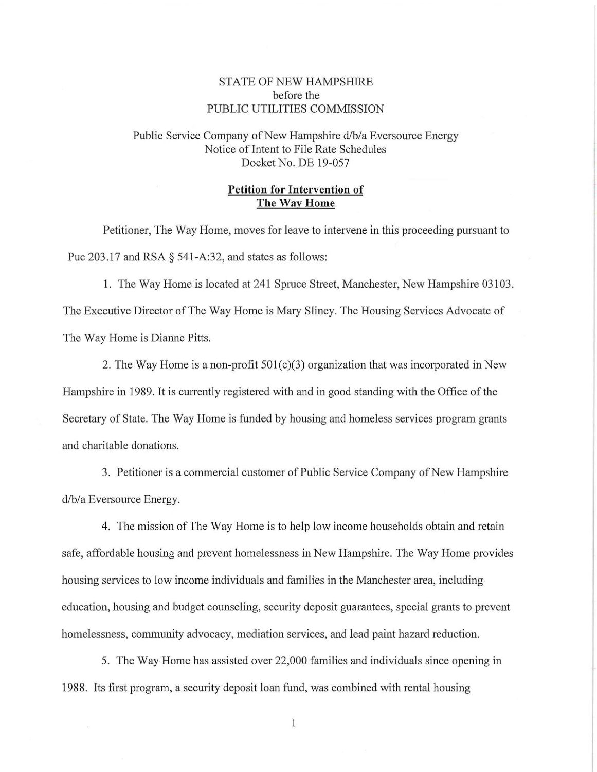## STATE OF NEW HAMPSHIRE before the PUBLIC UTILITIES COMMISSION

Public Service Company of New Hampshire d/b/a Eversource Energy Notice of Intent to File Rate Schedules Docket No. DE 19-057

## **Petition for Intervention of The Way Home**

Petitioner, The Way Home, moves for leave to intervene in this proceeding pursuant to Puc 203.17 and RSA  $\S$  541-A:32, and states as follows:

1. The Way Home is located at 241 Spruce Street, Manchester, New Hampshire 03103. The Executive Director of The Way Home is Mary Sliney. The Housing Services Advocate of The Way Home is Dianne Pitts.

2. The Way Home is a non-profit 501(c)(3) organization that was incorporated in New Hampshire in 1989. It *is* currently registered with and *in* good standing with the Office of the Secretary of State. The Way Home is funded by housing and homeless services program grants and charitable donations.

3. Petitioner is a commercial customer of Public Service Company of New Hampshire d/b/a Eversource Energy.

4. The mission of The Way Home is to help low income households obtain and retain safe, affordable housing and prevent homelessness in New Hampshire. The Way Home provides housing services to low income individuals and families in the Manchester area, including education, housing and budget counseling, security deposit guarantees, special grants to prevent homelessness, community advocacy, mediation services, and lead paint hazard reduction.

5. The Way Home has assisted over 22,000 families and individuals since opening in 1988. Its first program, a security deposit loan fund, was combined with rental housing

 $\mathbf{1}$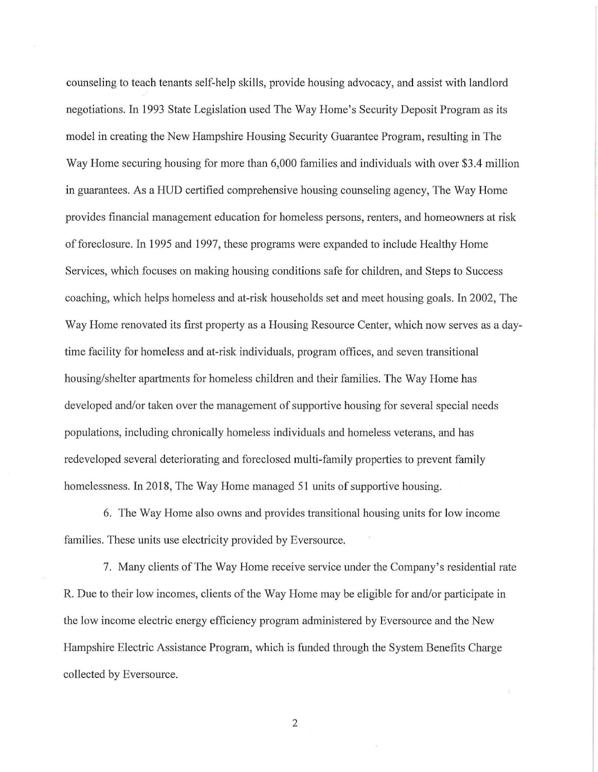counseling to teach tenants self-help skills, provide housing advocacy, and assist with landlord negotiations. In 1993 State Legislation used The Way Home's Security Deposit Program as its model in creating the New Hampshire Housing Security Guarantee Program, resulting in The Way Home securing housing for more than 6,000 families and individuals with over \$3.4 million in guarantees. As a HUD certified comprehensive housing counseling agency, The Way Home provides financial management education for homeless persons, renters, and homeowners at risk of foreclosure. In 1995 and 1997, these programs were expanded to include Healthy Home Services, which focuses on making housing conditions safe for children, and Steps to Success coaching, which helps homeless and at-risk households set and meet housing goals. In 2002, The Way Home renovated its first property as a Housing Resource Center, which now serves as a daytime facility for homeless and at-risk individuals, program offices, and seven transitional housing/shelter apartments for homeless children and their families. The Way Home has developed and/or taken over the management of supportive housing for several special needs populations, including chronically homeless individuals and homeless veterans, and has redeveloped several deteriorating and foreclosed multi-family properties to prevent family homelessness. In 2018, The Way Home managed 51 units of supportive housing.

6. The Way Home also owns and provides transitional housing units for low income families. These units use electricity provided by Eversource.

7. Many clients of The Way Home receive service under the Company's residential rate R. Due to their low incomes, clients of the Way Home may be eligible for and/or participate in the low income electric energy efficiency program administered by Eversource and the New Hampshire Electric Assistance Program, which is funded through the System Benefits Charge collected by Eversource.

2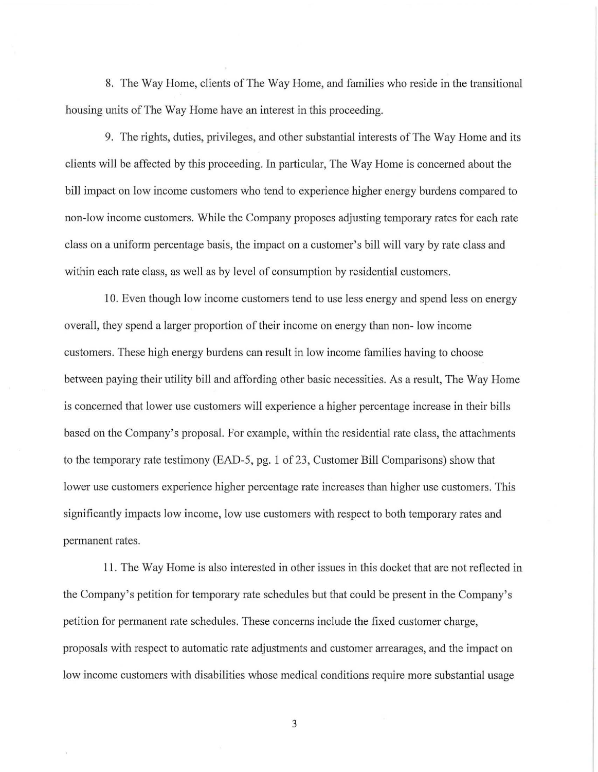8. The Way Home, clients of The Way Home, and families who reside in the transitional housing units of The Way Home have an interest in this proceeding.

9. The rights, duties, privileges, and other substantial interests of The Way Home and its clients will be affected by this proceeding. In particular, The Way Home is concerned about the bill impact on low income customers who tend to experience higher energy burdens compared to non-low income customers. While the Company proposes adjusting temporary rates for each rate class on a uniform percentage basis, the impact on a customer's bill will vary by rate class and within each rate class, as well as by level of consumption by residential customers.

10. Even though low income customers tend to use less energy and spend less on energy overall, they spend a larger proportion of their income on energy than non- low income customers. These high energy burdens can result in low income families having to choose between paying their utility bill and affording other basic necessities. As a result, The Way Home is concerned that lower use customers will experience a higher percentage increase in their bills based on the Company's proposal. For example, within the residential rate class, the attachments to the temporary rate testimony (EAD-5, pg. I of 23, Customer Bill Comparisons) show that lower use customers experience higher percentage rate increases than higher use customers. This significantly impacts low income, low use customers with respect to both temporary rates and permanent rates.

11. The Way Home is also interested in other issues in this docket that are not reflected in the Company's petition for temporary rate schedules but that could be present in the Company's petition for permanent rate schedules. These concerns include the fixed customer charge, proposals with respect to automatic rate adjustments and customer arrearages, and the impact on low income customers with disabilities whose medical conditions require more substantial usage

3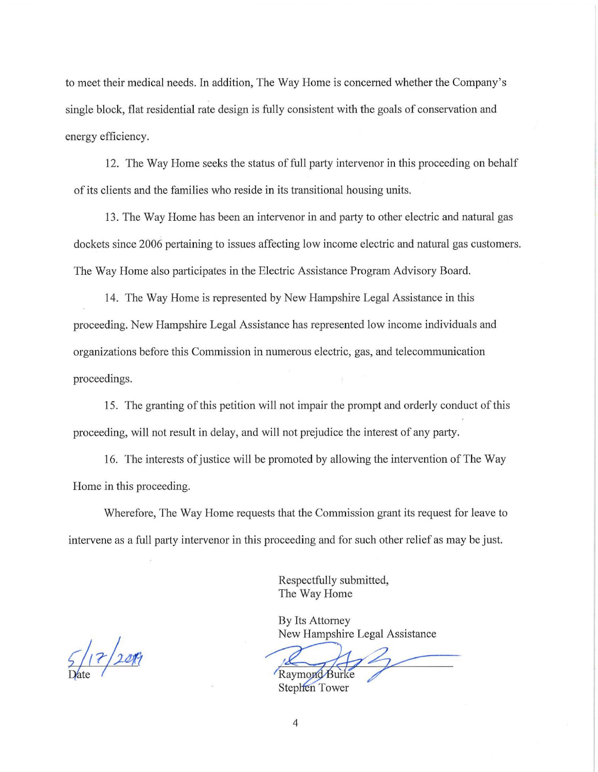to meet their medical needs. In addition, The Way Home is concerned whether the Company's single block, flat residential rate design is fully consistent with the goals of conservation and energy efficiency.

12. The Way Home seeks the status of full party intervenor in this proceeding on behalf of its clients and the families who reside in its transitional housing units.

13. The Way Home has been an intervenor in and party to other electric and natural gas dockets since 2006 pertaining to issues affecting low income electric and natural gas customers. The Way Home also participates in the Electric Assistance Program Advisory Board.

14. The Way Home is represented by New Hampshire Legal Assistance in this proceeding. New Hampshire Legal Assistance has represented low income individuals and organizations before this Commission in numerous electric, gas, and telecommunication proceedings.

15. The granting of this petition will not impair the prompt and orderly conduct of this proceeding, will not result in delay, and will not prejudice the interest of any party.

16. The interests of justice will be promoted by allowing the intervention of The Way Home in this proceeding.

Wherefore, The Way Home requests that the Commission grant its request for leave to intervene as a full party intervenor in this proceeding and for such other relief as may be just.

> Respectfully submitted, The Way Home

 $5/17/200$ 

New Hampshire Legal Assistance

Raymond Burke<br>Stephen Tower

By Its Attorney